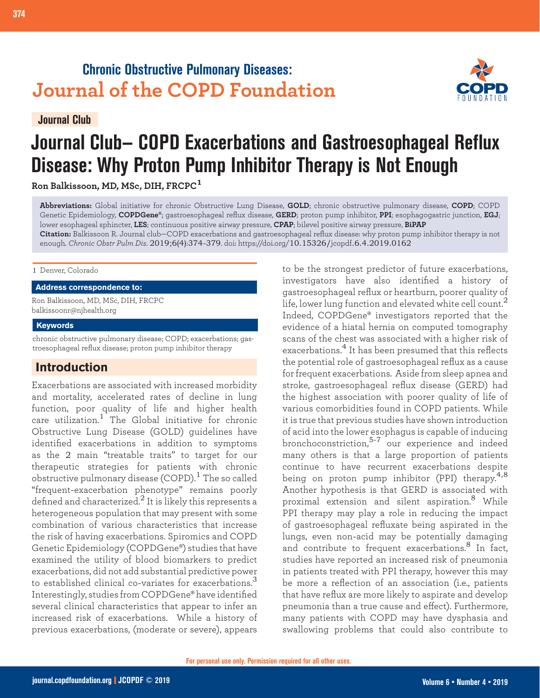## **Chronic Obstructive Pulmonary Diseases: Journal of the COPD Foundation**

**Journal Club**



# **Journal Club— COPD Exacerbations and Gastroesophageal Reflux Disease: Why Proton Pump Inhibitor Therapy is Not Enough**

**Ron Balkissoon, MD, MSc, DIH, FRCPC<sup>1</sup>**

**374 Journal Club: Exacerbations, GI Reflux & Proton Pumps**

**Abbreviations:** Global initiative for chronic Obstructive Lung Disease, **GOLD**; chronic obstructive pulmonary disease, **COPD**; COPD Genetic Epidemiology, **COPDGene®**; gastroesophageal reflux disease, **GERD**; proton pump inhibitor, **PPI**; esophagogastric junction, **EGJ**; lower esophageal sphincter, **LES**; continuous positive airway pressure, **CPAP**; bilevel positive airway pressure, **BiPAP**

**Citation:** Balkissoon R. Journal club—COPD exacerbations and gastroesophageal reflux disease: why proton pump inhibitor therapy is not enough. *Chronic Obstr Pulm Dis*. 2019;6(4):374-379. doi: https://doi.org/10.15326/jcopdf.6.4.2019.0162

#### 1 Denver, Colorado

#### **Address correspondence to:**

Ron Balkissoon, MD, MSc, DIH, FRCPC balkissoonr@njhealth.org

#### **Keywords**

chronic obstructive pulmonary disease; COPD; exacerbations; gastroesophageal reflux disease; proton pump inhibitor therapy

## **Introduction**

Exacerbations are associated with increased morbidity and mortality, accelerated rates of decline in lung function, poor quality of life and higher health care utilization.<sup>1</sup> The Global initiative for chronic Obstructive Lung Disease (GOLD) guidelines have identified exacerbations in addition to symptoms as the 2 main "treatable traits" to target for our therapeutic strategies for patients with chronic obstructive pulmonary disease (COPD).<sup>1</sup> The so called "frequent-exacerbation phenotype" remains poorly defined and characterized.<sup>2</sup> It is likely this represents a heterogeneous population that may present with some combination of various characteristics that increase the risk of having exacerbations. Spiromics and COPD Genetic Epidemiology (COPDGene®) studies that have examined the utility of blood biomarkers to predict exacerbations, did not add substantial predictive power to established clinical co-variates for exacerbations.<sup>3</sup> Interestingly, studies from COPDGene® have identified several clinical characteristics that appear to infer an increased risk of exacerbations. While a history of previous exacerbations, (moderate or severe), appears

to be the strongest predictor of future exacerbations, investigators have also identified a history of gastroesophageal reflux or heartburn, poorer quality of life, lower lung function and elevated white cell count. $^2$ Indeed, COPDGene® investigators reported that the evidence of a hiatal hernia on computed tomography scans of the chest was associated with a higher risk of exacerbations.4 It has been presumed that this reflects the potential role of gastroesophageal reflux as a cause for frequent exacerbations. Aside from sleep apnea and stroke, gastroesophageal reflux disease (GERD) had the highest association with poorer quality of life of various comorbidities found in COPD patients. While it is true that previous studies have shown introduction of acid into the lower esophagus is capable of inducing bronchoconstriction, $5-7$  our experience and indeed many others is that a large proportion of patients continue to have recurrent exacerbations despite being on proton pump inhibitor (PPI) therapy.<sup>4,8</sup> Another hypothesis is that GERD is associated with proximal extension and silent aspiration.8 While PPI therapy may play a role in reducing the impact of gastroesophageal refluxate being aspirated in the lungs, even non-acid may be potentially damaging and contribute to frequent exacerbations.<sup>8</sup> In fact, studies have reported an increased risk of pneumonia in patients treated with PPI therapy, however this may be more a reflection of an association (i.e., patients that have reflux are more likely to aspirate and develop pneumonia than a true cause and effect). Furthermore, many patients with COPD may have dysphasia and swallowing problems that could also contribute to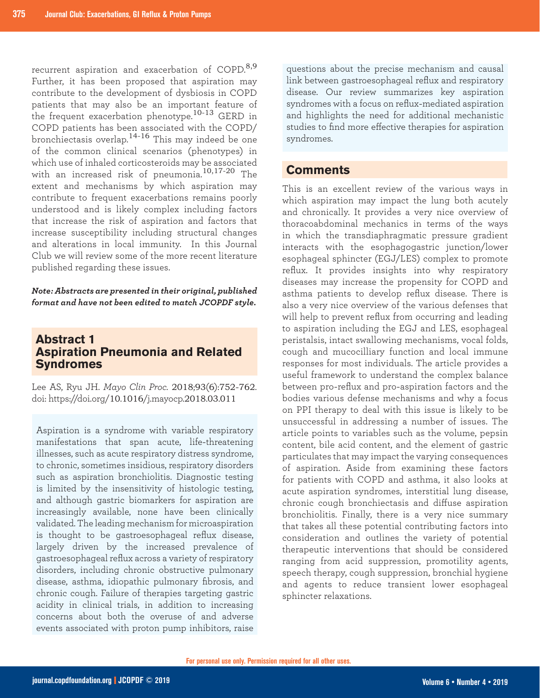recurrent aspiration and exacerbation of COPD.<sup>8,9</sup> Further, it has been proposed that aspiration may contribute to the development of dysbiosis in COPD patients that may also be an important feature of the frequent exacerbation phenotype.<sup>10-13</sup> GERD in COPD patients has been associated with the COPD/ bronchiectasis overlap.14-16 This may indeed be one of the common clinical scenarios (phenotypes) in which use of inhaled corticosteroids may be associated with an increased risk of pneumonia.10,17-20 The extent and mechanisms by which aspiration may contribute to frequent exacerbations remains poorly understood and is likely complex including factors that increase the risk of aspiration and factors that increase susceptibility including structural changes and alterations in local immunity. In this Journal Club we will review some of the more recent literature published regarding these issues.

*Note: Abstracts are presented in their original, published format and have not been edited to match JCOPDF style.*

## **Abstract 1 Aspiration Pneumonia and Related Syndromes**

Lee AS, Ryu JH. *Mayo Clin Proc.* 2018;93(6):752-762. doi: https://doi.org/10.1016/j.mayocp.2018.03.011

Aspiration is a syndrome with variable respiratory manifestations that span acute, life-threatening illnesses, such as acute respiratory distress syndrome, to chronic, sometimes insidious, respiratory disorders such as aspiration bronchiolitis. Diagnostic testing is limited by the insensitivity of histologic testing, and although gastric biomarkers for aspiration are increasingly available, none have been clinically validated. The leading mechanism for microaspiration is thought to be gastroesophageal reflux disease, largely driven by the increased prevalence of gastroesophageal reflux across a variety of respiratory disorders, including chronic obstructive pulmonary disease, asthma, idiopathic pulmonary fibrosis, and chronic cough. Failure of therapies targeting gastric acidity in clinical trials, in addition to increasing concerns about both the overuse of and adverse events associated with proton pump inhibitors, raise

questions about the precise mechanism and causal link between gastroesophageal reflux and respiratory disease. Our review summarizes key aspiration syndromes with a focus on reflux-mediated aspiration and highlights the need for additional mechanistic studies to find more effective therapies for aspiration syndromes.

## **Comments**

This is an excellent review of the various ways in which aspiration may impact the lung both acutely and chronically. It provides a very nice overview of thoracoabdominal mechanics in terms of the ways in which the transdiaphragmatic pressure gradient interacts with the esophagogastric junction/lower esophageal sphincter (EGJ/LES) complex to promote reflux. It provides insights into why respiratory diseases may increase the propensity for COPD and asthma patients to develop reflux disease. There is also a very nice overview of the various defenses that will help to prevent reflux from occurring and leading to aspiration including the EGJ and LES, esophageal peristalsis, intact swallowing mechanisms, vocal folds, cough and mucocilliary function and local immune responses for most individuals. The article provides a useful framework to understand the complex balance between pro-reflux and pro-aspiration factors and the bodies various defense mechanisms and why a focus on PPI therapy to deal with this issue is likely to be unsuccessful in addressing a number of issues. The article points to variables such as the volume, pepsin content, bile acid content, and the element of gastric particulates that may impact the varying consequences of aspiration. Aside from examining these factors for patients with COPD and asthma, it also looks at acute aspiration syndromes, interstitial lung disease, chronic cough bronchiectasis and diffuse aspiration bronchiolitis. Finally, there is a very nice summary that takes all these potential contributing factors into consideration and outlines the variety of potential therapeutic interventions that should be considered ranging from acid suppression, promotility agents, speech therapy, cough suppression, bronchial hygiene and agents to reduce transient lower esophageal sphincter relaxations.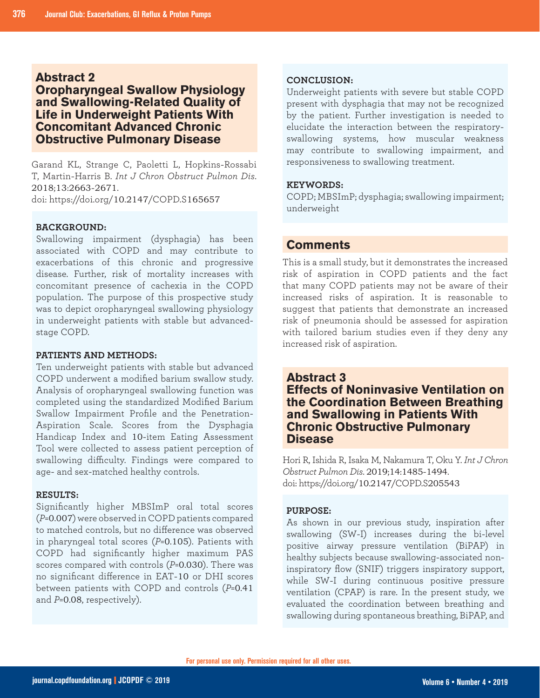## **Abstract 2**

## **Oropharyngeal Swallow Physiology and Swallowing-Related Quality of Life in Underweight Patients With Concomitant Advanced Chronic Obstructive Pulmonary Disease**

Garand KL, Strange C, Paoletti L, Hopkins-Rossabi T, Martin-Harris B. *Int J Chron Obstruct Pulmon Dis*. 2018;13:2663-2671.

doi: https://doi.org/10.2147/COPD.S165657

## **BACKGROUND:**

Swallowing impairment (dysphagia) has been associated with COPD and may contribute to exacerbations of this chronic and progressive disease. Further, risk of mortality increases with concomitant presence of cachexia in the COPD population. The purpose of this prospective study was to depict oropharyngeal swallowing physiology in underweight patients with stable but advancedstage COPD.

#### **PATIENTS AND METHODS:**

Ten underweight patients with stable but advanced COPD underwent a modified barium swallow study. Analysis of oropharyngeal swallowing function was completed using the standardized Modified Barium Swallow Impairment Profile and the Penetration-Aspiration Scale. Scores from the Dysphagia Handicap Index and 10-item Eating Assessment Tool were collected to assess patient perception of swallowing difficulty. Findings were compared to age- and sex-matched healthy controls.

#### **RESULTS:**

Significantly higher MBSImP oral total scores (*P*=0.007) were observed in COPD patients compared to matched controls, but no difference was observed in pharyngeal total scores (*P*=0.105). Patients with COPD had significantly higher maximum PAS scores compared with controls (*P*=0.030). There was no significant difference in EAT-10 or DHI scores between patients with COPD and controls (*P*=0.41 and *P*=0.08, respectively).

#### **CONCLUSION:**

Underweight patients with severe but stable COPD present with dysphagia that may not be recognized by the patient. Further investigation is needed to elucidate the interaction between the respiratoryswallowing systems, how muscular weakness may contribute to swallowing impairment, and responsiveness to swallowing treatment.

#### **KEYWORDS:**

COPD; MBSImP; dysphagia; swallowing impairment; underweight

## **Comments**

This is a small study, but it demonstrates the increased risk of aspiration in COPD patients and the fact that many COPD patients may not be aware of their increased risks of aspiration. It is reasonable to suggest that patients that demonstrate an increased risk of pneumonia should be assessed for aspiration with tailored barium studies even if they deny any increased risk of aspiration.

**Abstract 3 Effects of Noninvasive Ventilation on the Coordination Between Breathing and Swallowing in Patients With Chronic Obstructive Pulmonary Disease**

Hori R, Ishida R, Isaka M, Nakamura T, Oku Y. *Int J Chron Obstruct Pulmon Dis*. 2019;14:1485-1494. doi: https://doi.org/10.2147/COPD.S205543

#### **PURPOSE:**

As shown in our previous study, inspiration after swallowing (SW-I) increases during the bi-level positive airway pressure ventilation (BiPAP) in healthy subjects because swallowing-associated noninspiratory flow (SNIF) triggers inspiratory support, while SW-I during continuous positive pressure ventilation (CPAP) is rare. In the present study, we evaluated the coordination between breathing and swallowing during spontaneous breathing, BiPAP, and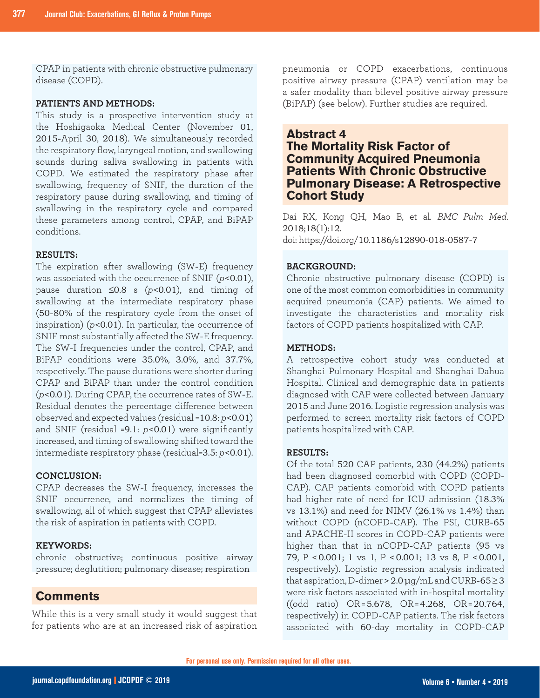CPAP in patients with chronic obstructive pulmonary disease (COPD).

#### **PATIENTS AND METHODS:**

This study is a prospective intervention study at the Hoshigaoka Medical Center (November 01, 2015-April 30, 2018). We simultaneously recorded the respiratory flow, laryngeal motion, and swallowing sounds during saliva swallowing in patients with COPD. We estimated the respiratory phase after swallowing, frequency of SNIF, the duration of the respiratory pause during swallowing, and timing of swallowing in the respiratory cycle and compared these parameters among control, CPAP, and BiPAP conditions.

#### **RESULTS:**

The expiration after swallowing (SW-E) frequency was associated with the occurrence of SNIF (*p*<0.01), pause duration ≤0.8 s (*p*<0.01), and timing of swallowing at the intermediate respiratory phase (50-80% of the respiratory cycle from the onset of inspiration) (*p*<0.01). In particular, the occurrence of SNIF most substantially affected the SW-E frequency. The SW-I frequencies under the control, CPAP, and BiPAP conditions were 35.0%, 3.0%, and 37.7%, respectively. The pause durations were shorter during CPAP and BiPAP than under the control condition (*p*<0.01). During CPAP, the occurrence rates of SW-E. Residual denotes the percentage difference between observed and expected values (residual =10.8: *p*<0.01) and SNIF (residual =9.1: *p*<0.01) were significantly increased, and timing of swallowing shifted toward the intermediate respiratory phase (residual=3.5: *p*<0.01).

#### **CONCLUSION:**

CPAP decreases the SW-I frequency, increases the SNIF occurrence, and normalizes the timing of swallowing, all of which suggest that CPAP alleviates the risk of aspiration in patients with COPD.

#### **KEYWORDS:**

chronic obstructive; continuous positive airway pressure; deglutition; pulmonary disease; respiration

## **Comments**

While this is a very small study it would suggest that for patients who are at an increased risk of aspiration pneumonia or COPD exacerbations, continuous positive airway pressure (CPAP) ventilation may be a safer modality than bilevel positive airway pressure (BiPAP) (see below). Further studies are required.

## **Abstract 4 The Mortality Risk Factor of Community Acquired Pneumonia Patients With Chronic Obstructive Pulmonary Disease: A Retrospective Cohort Study**

Dai RX, Kong QH, Mao B, et al. *BMC Pulm Med*. 2018;18(1):12. doi: https://doi.org/10.1186/s12890-018-0587-7

#### **BACKGROUND:**

Chronic obstructive pulmonary disease (COPD) is one of the most common comorbidities in community acquired pneumonia (CAP) patients. We aimed to investigate the characteristics and mortality risk factors of COPD patients hospitalized with CAP.

#### **METHODS:**

A retrospective cohort study was conducted at Shanghai Pulmonary Hospital and Shanghai Dahua Hospital. Clinical and demographic data in patients diagnosed with CAP were collected between January 2015 and June 2016. Logistic regression analysis was performed to screen mortality risk factors of COPD patients hospitalized with CAP.

#### **RESULTS:**

Of the total 520 CAP patients, 230 (44.2%) patients had been diagnosed comorbid with COPD (COPD-CAP). CAP patients comorbid with COPD patients had higher rate of need for ICU admission (18.3% vs 13.1%) and need for NIMV (26.1% vs 1.4%) than without COPD (nCOPD-CAP). The PSI, CURB-65 and APACHE-II scores in COPD-CAP patients were higher than that in nCOPD-CAP patients (95 vs 79, P <0.001; 1 vs 1, P <0.001; 13 vs 8, P <0.001, respectively). Logistic regression analysis indicated that aspiration, D-dimer >  $2.0 \mu g/mL$  and CURB-65  $\geq$  3 were risk factors associated with in-hospital mortality ((odd ratio) OR = 5.678, OR = 4.268, OR = 20.764, respectively) in COPD-CAP patients. The risk factors associated with 60-day mortality in COPD-CAP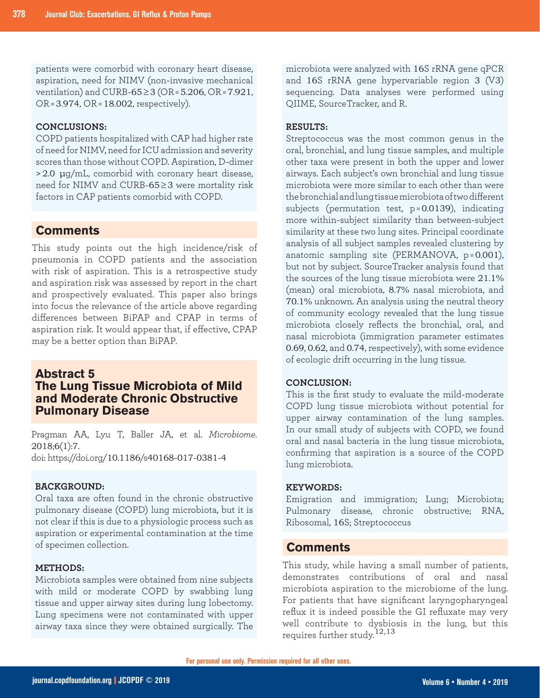patients were comorbid with coronary heart disease, aspiration, need for NIMV (non-invasive mechanical ventilation) and CURB-65≥3 (OR = 5.206, OR = 7.921, OR = 3.974, OR = 18.002, respectively).

#### **CONCLUSIONS:**

COPD patients hospitalized with CAP had higher rate of need for NIMV, need for ICU admission and severity scores than those without COPD. Aspiration, D-dimer >2.0 μg/mL, comorbid with coronary heart disease, need for NIMV and CURB-65≥3 were mortality risk factors in CAP patients comorbid with COPD.

#### **Comments**

This study points out the high incidence/risk of pneumonia in COPD patients and the association with risk of aspiration. This is a retrospective study and aspiration risk was assessed by report in the chart and prospectively evaluated. This paper also brings into focus the relevance of the article above regarding differences between BiPAP and CPAP in terms of aspiration risk. It would appear that, if effective, CPAP may be a better option than BiPAP.

## **Abstract 5 The Lung Tissue Microbiota of Mild and Moderate Chronic Obstructive Pulmonary Disease**

Pragman AA, Lyu T, Baller JA, et al. *Microbiome*. 2018;6(1):7. doi: https://doi.org/10.1186/s40168-017-0381-4

#### **BACKGROUND:**

Oral taxa are often found in the chronic obstructive pulmonary disease (COPD) lung microbiota, but it is not clear if this is due to a physiologic process such as aspiration or experimental contamination at the time of specimen collection.

#### **METHODS:**

Microbiota samples were obtained from nine subjects with mild or moderate COPD by swabbing lung tissue and upper airway sites during lung lobectomy. Lung specimens were not contaminated with upper airway taxa since they were obtained surgically. The microbiota were analyzed with 16S rRNA gene qPCR and 16S rRNA gene hypervariable region 3 (V3) sequencing. Data analyses were performed using QIIME, SourceTracker, and R.

#### **RESULTS:**

Streptococcus was the most common genus in the oral, bronchial, and lung tissue samples, and multiple other taxa were present in both the upper and lower airways. Each subject's own bronchial and lung tissue microbiota were more similar to each other than were the bronchial and lung tissue microbiota of two different subjects (permutation test, p = 0.0139), indicating more within-subject similarity than between-subject similarity at these two lung sites. Principal coordinate analysis of all subject samples revealed clustering by anatomic sampling site (PERMANOVA, p = 0.001), but not by subject. SourceTracker analysis found that the sources of the lung tissue microbiota were 21.1% (mean) oral microbiota, 8.7% nasal microbiota, and 70.1% unknown. An analysis using the neutral theory of community ecology revealed that the lung tissue microbiota closely reflects the bronchial, oral, and nasal microbiota (immigration parameter estimates 0.69, 0.62, and 0.74, respectively), with some evidence of ecologic drift occurring in the lung tissue.

#### **CONCLUSION:**

This is the first study to evaluate the mild-moderate COPD lung tissue microbiota without potential for upper airway contamination of the lung samples. In our small study of subjects with COPD, we found oral and nasal bacteria in the lung tissue microbiota, confirming that aspiration is a source of the COPD lung microbiota.

#### **KEYWORDS:**

Emigration and immigration; Lung; Microbiota; Pulmonary disease, chronic obstructive; RNA, Ribosomal, 16S; Streptococcus

## **Comments**

This study, while having a small number of patients, demonstrates contributions of oral and nasal microbiota aspiration to the microbiome of the lung. For patients that have significant laryngopharyngeal reflux it is indeed possible the GI refluxate may very well contribute to dysbiosis in the lung, but this requires further study.12,13

**For personal use only. Permission required for all other uses.**